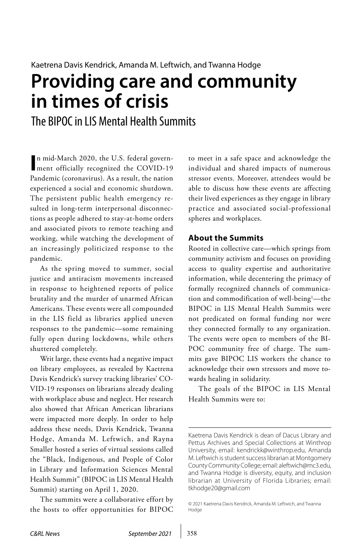# **Providing care and community in times of crisis**

The BIPOC in LIS Mental Health Summits

In mid-March 2020, the U.S. federal government officially recognized the COVID-19 n mid-March 2020, the U.S. federal govern-Pandemic (coronavirus). As a result, the nation experienced a social and economic shutdown. The persistent public health emergency resulted in long-term interpersonal disconnections as people adhered to stay-at-home orders and associated pivots to remote teaching and working, while watching the development of an increasingly politicized response to the pandemic.

As the spring moved to summer, social justice and antiracism movements increased in response to heightened reports of police brutality and the murder of unarmed African Americans. These events were all compounded in the LIS field as libraries applied uneven responses to the pandemic—some remaining fully open during lockdowns, while others shuttered completely.

Writ large, these events had a negative impact on library employees, as revealed by Kaetrena Davis Kendrick's survey tracking libraries' CO-VID-19 responses on librarians already dealing with workplace abuse and neglect. Her research also showed that African American librarians were impacted more deeply. In order to help address these needs, Davis Kendrick, Twanna Hodge, Amanda M. Leftwich, and Rayna Smaller hosted a series of virtual sessions called the "Black, Indigenous, and People of Color in Library and Information Sciences Mental Health Summit" (BIPOC in LIS Mental Health Summit) starting on April 1, 2020.

The summits were a collaborative effort by the hosts to offer opportunities for BIPOC

to meet in a safe space and acknowledge the individual and shared impacts of numerous stressor events. Moreover, attendees would be able to discuss how these events are affecting their lived experiences as they engage in library practice and associated social-professional spheres and workplaces.

## **About the Summits**

Rooted in collective care—which springs from community activism and focuses on providing access to quality expertise and authoritative information, while decentering the primacy of formally recognized channels of communication and commodification of well-being<sup>1</sup>—the BIPOC in LIS Mental Health Summits were not predicated on formal funding nor were they connected formally to any organization. The events were open to members of the BI-POC community free of charge. The summits gave BIPOC LIS workers the chance to acknowledge their own stressors and move towards healing in solidarity.

The goals of the BIPOC in LIS Mental Health Summits were to:

Kaetrena Davis Kendrick is dean of Dacus Library and Pettus Archives and Special Collections at Winthrop University, email: [kendrickk@winthrop.edu,](mailto:kendrickk%40winthrop.edu?subject=) Amanda M. Leftwich is student success librarian at Montgomery County Community College; email: [aleftwich@mc3.edu,](mailto:aleftwich%40mc3.edu?subject=) and Twanna Hodge is diversity, equity, and inclusion librarian at University of Florida Libraries; email: [tkhodge20@gmail.com](mailto:tkhodge20%40gmail.com?subject=)

<sup>© 2021</sup> Kaetrena Davis Kendrick, Amanda M. Leftwich, and Twanna Hodge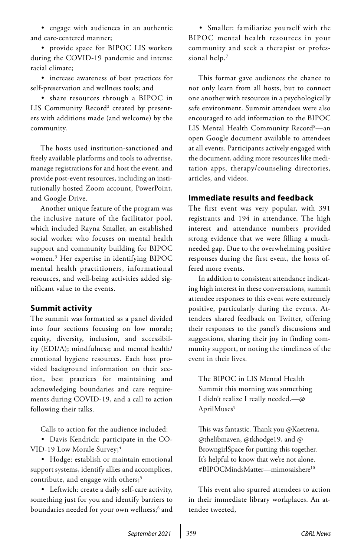• engage with audiences in an authentic and care-centered manner;

• provide space for BIPOC LIS workers during the COVID-19 pandemic and intense racial climate;

• increase awareness of best practices for self-preservation and wellness tools; and

• share resources through a BIPOC in LIS Community Record<sup>2</sup> created by presenters with additions made (and welcome) by the community.

The hosts used institution-sanctioned and freely available platforms and tools to advertise, manage registrations for and host the event, and provide post-event resources, including an institutionally hosted Zoom account, PowerPoint, and Google Drive.

Another unique feature of the program was the inclusive nature of the facilitator pool, which included Rayna Smaller, an established social worker who focuses on mental health support and community building for BIPOC women.3 Her expertise in identifying BIPOC mental health practitioners, informational resources, and well-being activities added significant value to the events.

#### **Summit activity**

The summit was formatted as a panel divided into four sections focusing on low morale; equity, diversity, inclusion, and accessibility (EDI/A); mindfulness; and mental health/ emotional hygiene resources. Each host provided background information on their section, best practices for maintaining and acknowledging boundaries and care requirements during COVID-19, and a call to action following their talks.

Calls to action for the audience included:

• Davis Kendrick: participate in the CO-VID-19 Low Morale Survey;<sup>4</sup>

• Hodge: establish or maintain emotional support systems, identify allies and accomplices, contribute, and engage with others;<sup>5</sup>

• Leftwich: create a daily self-care activity, something just for you and identify barriers to boundaries needed for your own wellness;<sup>6</sup> and

• Smaller: familiarize yourself with the BIPOC mental health resources in your community and seek a therapist or professional help.7

This format gave audiences the chance to not only learn from all hosts, but to connect one another with resources in a psychologically safe environment. Summit attendees were also encouraged to add information to the BIPOC LIS Mental Health Community Record<sup>8</sup>—an open Google document available to attendees at all events. Participants actively engaged with the document, adding more resources like meditation apps, therapy/counseling directories, articles, and videos.

#### **Immediate results and feedback**

The first event was very popular, with 391 registrants and 194 in attendance. The high interest and attendance numbers provided strong evidence that we were filling a muchneeded gap. Due to the overwhelming positive responses during the first event, the hosts offered more events.

In addition to consistent attendance indicating high interest in these conversations, summit attendee responses to this event were extremely positive, particularly during the events. Attendees shared feedback on Twitter, offering their responses to the panel's discussions and suggestions, sharing their joy in finding community support, or noting the timeliness of the event in their lives.

The BIPOC in LIS Mental Health Summit this morning was something I didn't realize I really needed.—@ AprilMuses<sup>9</sup>

This was fantastic. Thank you @Kaetrena, @thelibmaven, @tkhodge19, and @ BrowngirlSpace for putting this together. It's helpful to know that we're not alone. #BIPOCMindsMatter—mimosaishere<sup>10</sup>

This event also spurred attendees to action in their immediate library workplaces. An attendee tweeted,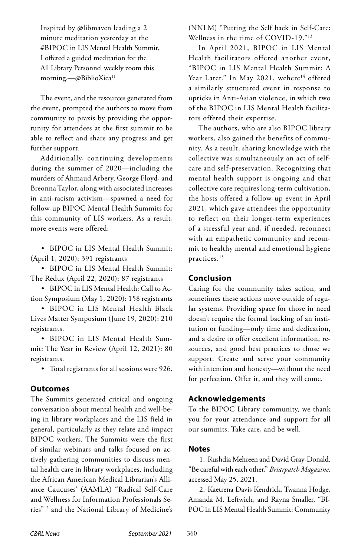Inspired by @libmaven leading a 2 minute meditation yesterday at the #BIPOC in LIS Mental Health Summit, I offered a guided meditation for the All Library Personnel weekly zoom this morning.—@BiblioXica<sup>11</sup>

The event, and the resources generated from the event, prompted the authors to move from community to praxis by providing the opportunity for attendees at the first summit to be able to reflect and share any progress and get further support.

Additionally, continuing developments during the summer of 2020—including the murders of Ahmaud Arbery, George Floyd, and Breonna Taylor, along with associated increases in anti-racism activism—spawned a need for follow-up BIPOC Mental Health Summits for this community of LIS workers. As a result, more events were offered:

• BIPOC in LIS Mental Health Summit: (April 1, 2020): 391 registrants

• BIPOC in LIS Mental Health Summit: The Redux (April 22, 2020): 87 registrants

• BIPOC in LIS Mental Health: Call to Action Symposium (May 1, 2020): 158 registrants

• BIPOC in LIS Mental Health Black Lives Matter Symposium (June 19, 2020): 210 registrants.

• BIPOC in LIS Mental Health Summit: The Year in Review (April 12, 2021): 80 registrants.

• Total registrants for all sessions were 926.

#### **Outcomes**

The Summits generated critical and ongoing conversation about mental health and well-being in library workplaces and the LIS field in general, particularly as they relate and impact BIPOC workers. The Summits were the first of similar webinars and talks focused on actively gathering communities to discuss mental health care in library workplaces, including the African American Medical Librarian's Alliance Caucuses' (AAMLA) "Radical Self-Care and Wellness for Information Professionals Series"12 and the National Library of Medicine's (NNLM) "Putting the Self back in Self-Care: Wellness in the time of COVID-19."13

In April 2021, BIPOC in LIS Mental Health facilitators offered another event, "BIPOC in LIS Mental Health Summit: A Year Later." In May 2021, wehere<sup>14</sup> offered a similarly structured event in response to upticks in Anti-Asian violence, in which two of the BIPOC in LIS Mental Health facilitators offered their expertise.

The authors, who are also BIPOC library workers, also gained the benefits of community. As a result, sharing knowledge with the collective was simultaneously an act of selfcare and self-preservation. Recognizing that mental health support is ongoing and that collective care requires long-term cultivation, the hosts offered a follow-up event in April 2021, which gave attendees the opportunity to reflect on their longer-term experiences of a stressful year and, if needed, reconnect with an empathetic community and recommit to healthy mental and emotional hygiene practices.15

### **Conclusion**

Caring for the community takes action, and sometimes these actions move outside of regular systems. Providing space for those in need doesn't require the formal backing of an institution or funding—only time and dedication, and a desire to offer excellent information, resources, and good best practices to those we support. Create and serve your community with intention and honesty—without the need for perfection. Offer it, and they will come.

#### **Acknowledgements**

To the BIPOC Library community, we thank you for your attendance and support for all our summits. Take care, and be well.

#### **Notes**

1. Rushdia Mehreen and David Gray-Donald. "Be careful with each other," *Briarpatch Magazine,*  accessed May 25, 2021.

2. Kaetrena Davis Kendrick, Twanna Hodge, Amanda M. Leftwich, and Rayna Smaller, "BI-POC in LIS Mental Health Summit: Community